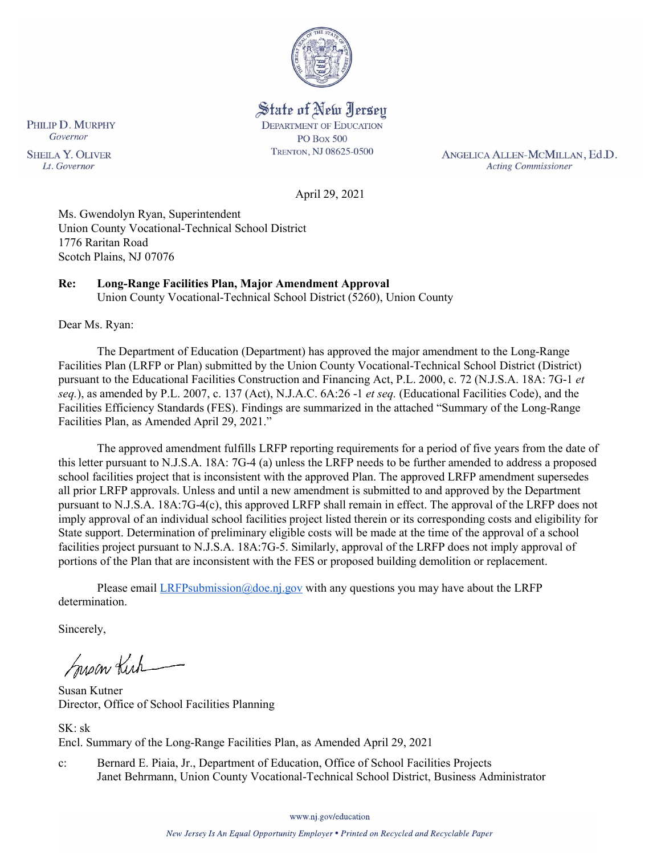

State of New Jersey **DEPARTMENT OF EDUCATION PO Box 500** TRENTON, NJ 08625-0500

ANGELICA ALLEN-MCMILLAN, Ed.D. **Acting Commissioner** 

April 29, 2021

Ms. Gwendolyn Ryan, Superintendent Union County Vocational-Technical School District 1776 Raritan Road Scotch Plains, NJ 07076

# **Re: Long-Range Facilities Plan, Major Amendment Approval**

Union County Vocational-Technical School District (5260), Union County

Dear Ms. Ryan:

The Department of Education (Department) has approved the major amendment to the Long-Range Facilities Plan (LRFP or Plan) submitted by the Union County Vocational-Technical School District (District) pursuant to the Educational Facilities Construction and Financing Act, P.L. 2000, c. 72 (N.J.S.A. 18A: 7G-1 *et seq.*), as amended by P.L. 2007, c. 137 (Act), N.J.A.C. 6A:26 -1 *et seq.* (Educational Facilities Code), and the Facilities Efficiency Standards (FES). Findings are summarized in the attached "Summary of the Long-Range Facilities Plan, as Amended April 29, 2021."

The approved amendment fulfills LRFP reporting requirements for a period of five years from the date of this letter pursuant to N.J.S.A. 18A: 7G-4 (a) unless the LRFP needs to be further amended to address a proposed school facilities project that is inconsistent with the approved Plan. The approved LRFP amendment supersedes all prior LRFP approvals. Unless and until a new amendment is submitted to and approved by the Department pursuant to N.J.S.A. 18A:7G-4(c), this approved LRFP shall remain in effect. The approval of the LRFP does not imply approval of an individual school facilities project listed therein or its corresponding costs and eligibility for State support. Determination of preliminary eligible costs will be made at the time of the approval of a school facilities project pursuant to N.J.S.A. 18A:7G-5. Similarly, approval of the LRFP does not imply approval of portions of the Plan that are inconsistent with the FES or proposed building demolition or replacement.

Please email  $LRFP submission@doe.nj.gov$  with any questions you may have about the LRFP determination.

Sincerely,

Susan Kich

Susan Kutner Director, Office of School Facilities Planning

SK: sk Encl. Summary of the Long-Range Facilities Plan, as Amended April 29, 2021

c: Bernard E. Piaia, Jr., Department of Education, Office of School Facilities Projects Janet Behrmann, Union County Vocational-Technical School District, Business Administrator

PHILIP D. MURPHY Governor **SHEILA Y. OLIVER** 

Lt. Governor

www.nj.gov/education

New Jersey Is An Equal Opportunity Employer . Printed on Recycled and Recyclable Paper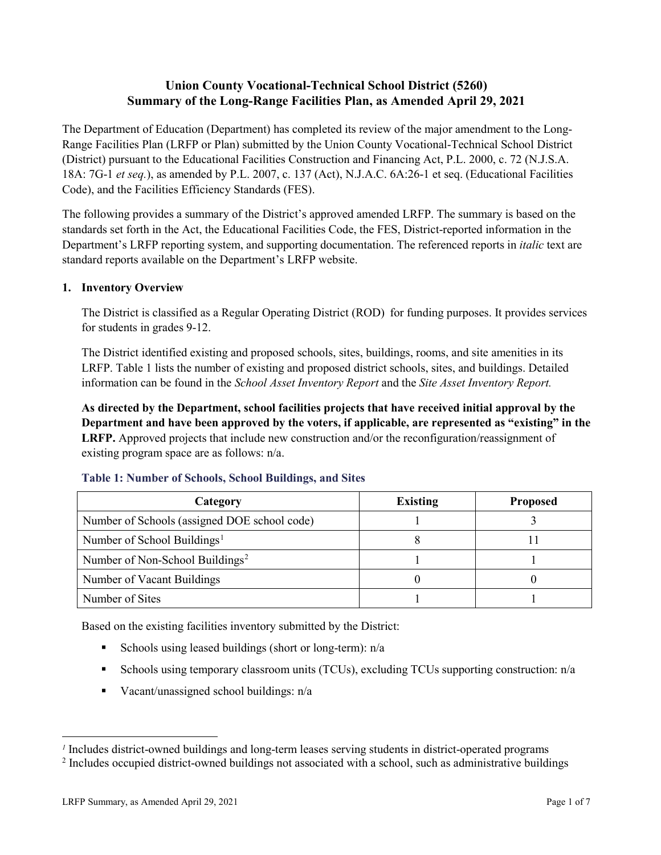# **Union County Vocational-Technical School District (5260) Summary of the Long-Range Facilities Plan, as Amended April 29, 2021**

The Department of Education (Department) has completed its review of the major amendment to the Long-Range Facilities Plan (LRFP or Plan) submitted by the Union County Vocational-Technical School District (District) pursuant to the Educational Facilities Construction and Financing Act, P.L. 2000, c. 72 (N.J.S.A. 18A: 7G-1 *et seq.*), as amended by P.L. 2007, c. 137 (Act), N.J.A.C. 6A:26-1 et seq. (Educational Facilities Code), and the Facilities Efficiency Standards (FES).

The following provides a summary of the District's approved amended LRFP. The summary is based on the standards set forth in the Act, the Educational Facilities Code, the FES, District-reported information in the Department's LRFP reporting system, and supporting documentation. The referenced reports in *italic* text are standard reports available on the Department's LRFP website.

#### **1. Inventory Overview**

The District is classified as a Regular Operating District (ROD) for funding purposes. It provides services for students in grades 9-12.

The District identified existing and proposed schools, sites, buildings, rooms, and site amenities in its LRFP. Table 1 lists the number of existing and proposed district schools, sites, and buildings. Detailed information can be found in the *School Asset Inventory Report* and the *Site Asset Inventory Report.*

**As directed by the Department, school facilities projects that have received initial approval by the Department and have been approved by the voters, if applicable, are represented as "existing" in the LRFP.** Approved projects that include new construction and/or the reconfiguration/reassignment of existing program space are as follows: n/a.

| Category                                     | <b>Existing</b> | <b>Proposed</b> |
|----------------------------------------------|-----------------|-----------------|
| Number of Schools (assigned DOE school code) |                 |                 |
| Number of School Buildings <sup>1</sup>      |                 |                 |
| Number of Non-School Buildings <sup>2</sup>  |                 |                 |
| Number of Vacant Buildings                   |                 |                 |
| Number of Sites                              |                 |                 |

#### **Table 1: Number of Schools, School Buildings, and Sites**

Based on the existing facilities inventory submitted by the District:

- Schools using leased buildings (short or long-term):  $n/a$
- Schools using temporary classroom units (TCUs), excluding TCUs supporting construction: n/a
- Vacant/unassigned school buildings:  $n/a$

 $\overline{a}$ 

<span id="page-1-0"></span>*<sup>1</sup>* Includes district-owned buildings and long-term leases serving students in district-operated programs

<span id="page-1-1"></span><sup>&</sup>lt;sup>2</sup> Includes occupied district-owned buildings not associated with a school, such as administrative buildings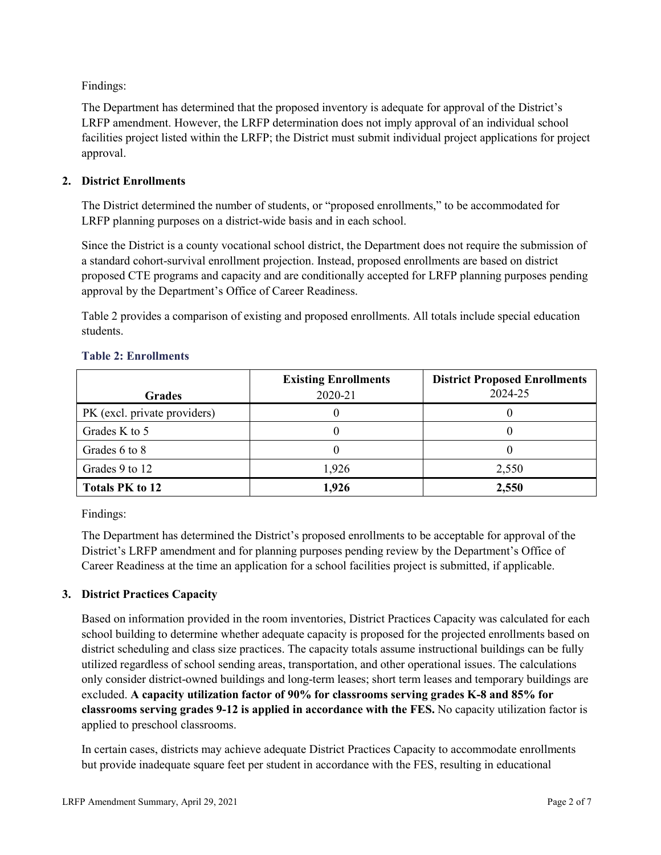Findings:

The Department has determined that the proposed inventory is adequate for approval of the District's LRFP amendment. However, the LRFP determination does not imply approval of an individual school facilities project listed within the LRFP; the District must submit individual project applications for project approval.

## **2. District Enrollments**

The District determined the number of students, or "proposed enrollments," to be accommodated for LRFP planning purposes on a district-wide basis and in each school.

Since the District is a county vocational school district, the Department does not require the submission of a standard cohort-survival enrollment projection. Instead, proposed enrollments are based on district proposed CTE programs and capacity and are conditionally accepted for LRFP planning purposes pending approval by the Department's Office of Career Readiness.

Table 2 provides a comparison of existing and proposed enrollments. All totals include special education students.

|                              | <b>Existing Enrollments</b><br>2020-21 | <b>District Proposed Enrollments</b><br>2024-25 |
|------------------------------|----------------------------------------|-------------------------------------------------|
| <b>Grades</b>                |                                        |                                                 |
| PK (excl. private providers) |                                        |                                                 |
| Grades K to 5                |                                        |                                                 |
| Grades 6 to 8                |                                        |                                                 |
| Grades 9 to 12               | 1,926                                  | 2,550                                           |
| <b>Totals PK to 12</b>       | 1,926                                  | 2,550                                           |

#### **Table 2: Enrollments**

Findings:

The Department has determined the District's proposed enrollments to be acceptable for approval of the District's LRFP amendment and for planning purposes pending review by the Department's Office of Career Readiness at the time an application for a school facilities project is submitted, if applicable.

## **3. District Practices Capacity**

Based on information provided in the room inventories, District Practices Capacity was calculated for each school building to determine whether adequate capacity is proposed for the projected enrollments based on district scheduling and class size practices. The capacity totals assume instructional buildings can be fully utilized regardless of school sending areas, transportation, and other operational issues. The calculations only consider district-owned buildings and long-term leases; short term leases and temporary buildings are excluded. **A capacity utilization factor of 90% for classrooms serving grades K-8 and 85% for classrooms serving grades 9-12 is applied in accordance with the FES.** No capacity utilization factor is applied to preschool classrooms.

In certain cases, districts may achieve adequate District Practices Capacity to accommodate enrollments but provide inadequate square feet per student in accordance with the FES, resulting in educational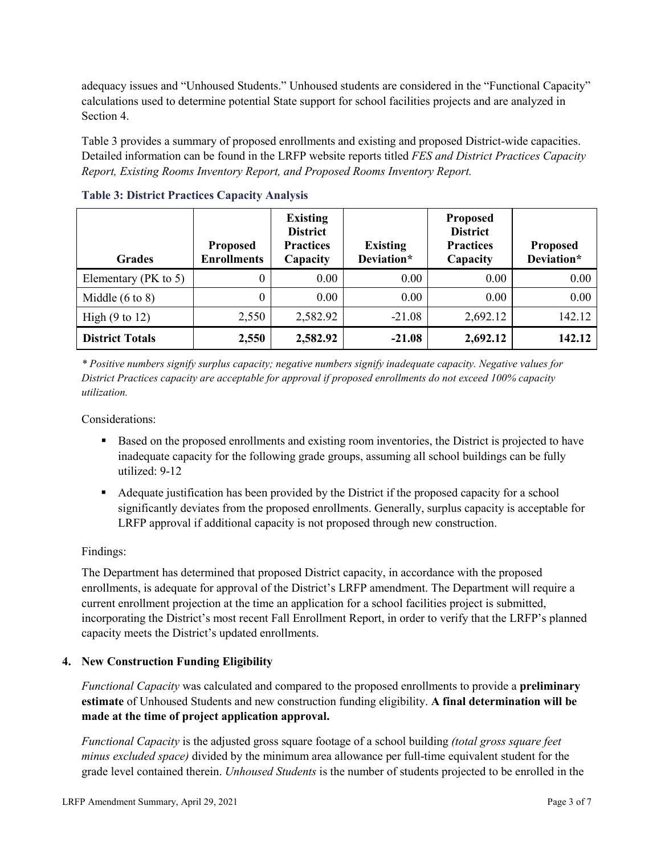adequacy issues and "Unhoused Students." Unhoused students are considered in the "Functional Capacity" calculations used to determine potential State support for school facilities projects and are analyzed in Section 4.

Table 3 provides a summary of proposed enrollments and existing and proposed District-wide capacities. Detailed information can be found in the LRFP website reports titled *FES and District Practices Capacity Report, Existing Rooms Inventory Report, and Proposed Rooms Inventory Report.*

| <b>Grades</b>              | <b>Proposed</b><br><b>Enrollments</b> | <b>Existing</b><br><b>District</b><br><b>Practices</b><br>Capacity | <b>Existing</b><br>Deviation* | <b>Proposed</b><br><b>District</b><br><b>Practices</b><br>Capacity | <b>Proposed</b><br>Deviation* |
|----------------------------|---------------------------------------|--------------------------------------------------------------------|-------------------------------|--------------------------------------------------------------------|-------------------------------|
| Elementary ( $PK$ to 5)    | 0                                     | 0.00                                                               | 0.00                          | 0.00                                                               | 0.00                          |
| Middle $(6 \text{ to } 8)$ | 0                                     | 0.00                                                               | 0.00                          | 0.00                                                               | 0.00                          |
| High $(9 \text{ to } 12)$  | 2,550                                 | 2,582.92                                                           | $-21.08$                      | 2,692.12                                                           | 142.12                        |
| <b>District Totals</b>     | 2,550                                 | 2,582.92                                                           | $-21.08$                      | 2,692.12                                                           | 142.12                        |

**Table 3: District Practices Capacity Analysis**

*\* Positive numbers signify surplus capacity; negative numbers signify inadequate capacity. Negative values for District Practices capacity are acceptable for approval if proposed enrollments do not exceed 100% capacity utilization.*

Considerations:

- Based on the proposed enrollments and existing room inventories, the District is projected to have inadequate capacity for the following grade groups, assuming all school buildings can be fully utilized: 9-12
- Adequate justification has been provided by the District if the proposed capacity for a school significantly deviates from the proposed enrollments. Generally, surplus capacity is acceptable for LRFP approval if additional capacity is not proposed through new construction.

## Findings:

The Department has determined that proposed District capacity, in accordance with the proposed enrollments, is adequate for approval of the District's LRFP amendment. The Department will require a current enrollment projection at the time an application for a school facilities project is submitted, incorporating the District's most recent Fall Enrollment Report, in order to verify that the LRFP's planned capacity meets the District's updated enrollments.

## **4. New Construction Funding Eligibility**

*Functional Capacity* was calculated and compared to the proposed enrollments to provide a **preliminary estimate** of Unhoused Students and new construction funding eligibility. **A final determination will be made at the time of project application approval.**

*Functional Capacity* is the adjusted gross square footage of a school building *(total gross square feet minus excluded space)* divided by the minimum area allowance per full-time equivalent student for the grade level contained therein. *Unhoused Students* is the number of students projected to be enrolled in the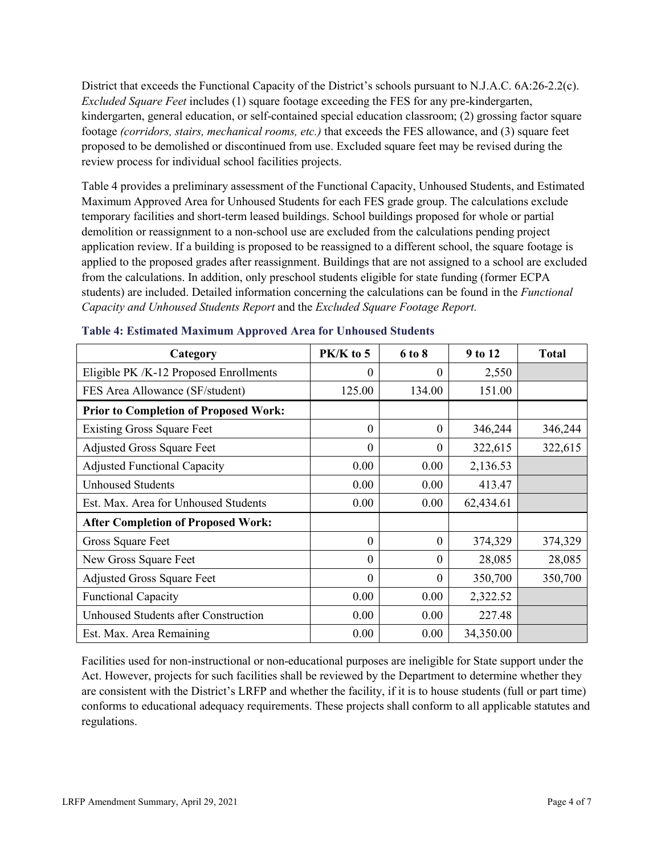District that exceeds the Functional Capacity of the District's schools pursuant to N.J.A.C. 6A:26-2.2(c). *Excluded Square Feet* includes (1) square footage exceeding the FES for any pre-kindergarten, kindergarten, general education, or self-contained special education classroom; (2) grossing factor square footage *(corridors, stairs, mechanical rooms, etc.)* that exceeds the FES allowance, and (3) square feet proposed to be demolished or discontinued from use. Excluded square feet may be revised during the review process for individual school facilities projects.

Table 4 provides a preliminary assessment of the Functional Capacity, Unhoused Students, and Estimated Maximum Approved Area for Unhoused Students for each FES grade group. The calculations exclude temporary facilities and short-term leased buildings. School buildings proposed for whole or partial demolition or reassignment to a non-school use are excluded from the calculations pending project application review. If a building is proposed to be reassigned to a different school, the square footage is applied to the proposed grades after reassignment. Buildings that are not assigned to a school are excluded from the calculations. In addition, only preschool students eligible for state funding (former ECPA students) are included. Detailed information concerning the calculations can be found in the *Functional Capacity and Unhoused Students Report* and the *Excluded Square Footage Report.*

| Category                                     | PK/K to 5 | 6 to 8   | 9 to 12   | <b>Total</b> |
|----------------------------------------------|-----------|----------|-----------|--------------|
| Eligible PK /K-12 Proposed Enrollments       | 0         | $\theta$ | 2,550     |              |
| FES Area Allowance (SF/student)              | 125.00    | 134.00   | 151.00    |              |
| <b>Prior to Completion of Proposed Work:</b> |           |          |           |              |
| <b>Existing Gross Square Feet</b>            | $\theta$  | $\theta$ | 346,244   | 346,244      |
| <b>Adjusted Gross Square Feet</b>            | $\theta$  | $\theta$ | 322,615   | 322,615      |
| <b>Adjusted Functional Capacity</b>          | 0.00      | 0.00     | 2,136.53  |              |
| <b>Unhoused Students</b>                     | 0.00      | 0.00     | 413.47    |              |
| Est. Max. Area for Unhoused Students         | 0.00      | 0.00     | 62,434.61 |              |
| <b>After Completion of Proposed Work:</b>    |           |          |           |              |
| Gross Square Feet                            | $\theta$  | $\theta$ | 374,329   | 374,329      |
| New Gross Square Feet                        | $\theta$  | $\theta$ | 28,085    | 28,085       |
| <b>Adjusted Gross Square Feet</b>            | $\theta$  | $\theta$ | 350,700   | 350,700      |
| <b>Functional Capacity</b>                   | 0.00      | 0.00     | 2,322.52  |              |
| <b>Unhoused Students after Construction</b>  | 0.00      | 0.00     | 227.48    |              |
| Est. Max. Area Remaining                     | 0.00      | 0.00     | 34,350.00 |              |

#### **Table 4: Estimated Maximum Approved Area for Unhoused Students**

Facilities used for non-instructional or non-educational purposes are ineligible for State support under the Act. However, projects for such facilities shall be reviewed by the Department to determine whether they are consistent with the District's LRFP and whether the facility, if it is to house students (full or part time) conforms to educational adequacy requirements. These projects shall conform to all applicable statutes and regulations.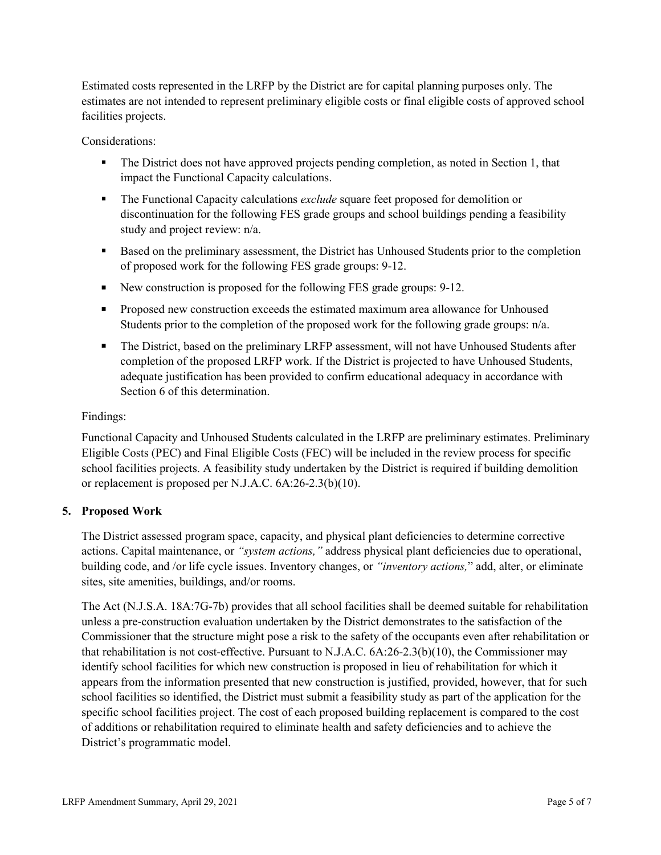Estimated costs represented in the LRFP by the District are for capital planning purposes only. The estimates are not intended to represent preliminary eligible costs or final eligible costs of approved school facilities projects.

Considerations:

- The District does not have approved projects pending completion, as noted in Section 1, that impact the Functional Capacity calculations.
- The Functional Capacity calculations *exclude* square feet proposed for demolition or discontinuation for the following FES grade groups and school buildings pending a feasibility study and project review: n/a.
- Based on the preliminary assessment, the District has Unhoused Students prior to the completion of proposed work for the following FES grade groups: 9-12.
- New construction is proposed for the following FES grade groups: 9-12.
- **Proposed new construction exceeds the estimated maximum area allowance for Unhoused** Students prior to the completion of the proposed work for the following grade groups: n/a.
- The District, based on the preliminary LRFP assessment, will not have Unhoused Students after completion of the proposed LRFP work. If the District is projected to have Unhoused Students, adequate justification has been provided to confirm educational adequacy in accordance with Section 6 of this determination.

## Findings:

Functional Capacity and Unhoused Students calculated in the LRFP are preliminary estimates. Preliminary Eligible Costs (PEC) and Final Eligible Costs (FEC) will be included in the review process for specific school facilities projects. A feasibility study undertaken by the District is required if building demolition or replacement is proposed per N.J.A.C. 6A:26-2.3(b)(10).

## **5. Proposed Work**

The District assessed program space, capacity, and physical plant deficiencies to determine corrective actions. Capital maintenance, or *"system actions,"* address physical plant deficiencies due to operational, building code, and /or life cycle issues. Inventory changes, or *"inventory actions,*" add, alter, or eliminate sites, site amenities, buildings, and/or rooms.

The Act (N.J.S.A. 18A:7G-7b) provides that all school facilities shall be deemed suitable for rehabilitation unless a pre-construction evaluation undertaken by the District demonstrates to the satisfaction of the Commissioner that the structure might pose a risk to the safety of the occupants even after rehabilitation or that rehabilitation is not cost-effective. Pursuant to N.J.A.C. 6A:26-2.3(b)(10), the Commissioner may identify school facilities for which new construction is proposed in lieu of rehabilitation for which it appears from the information presented that new construction is justified, provided, however, that for such school facilities so identified, the District must submit a feasibility study as part of the application for the specific school facilities project. The cost of each proposed building replacement is compared to the cost of additions or rehabilitation required to eliminate health and safety deficiencies and to achieve the District's programmatic model.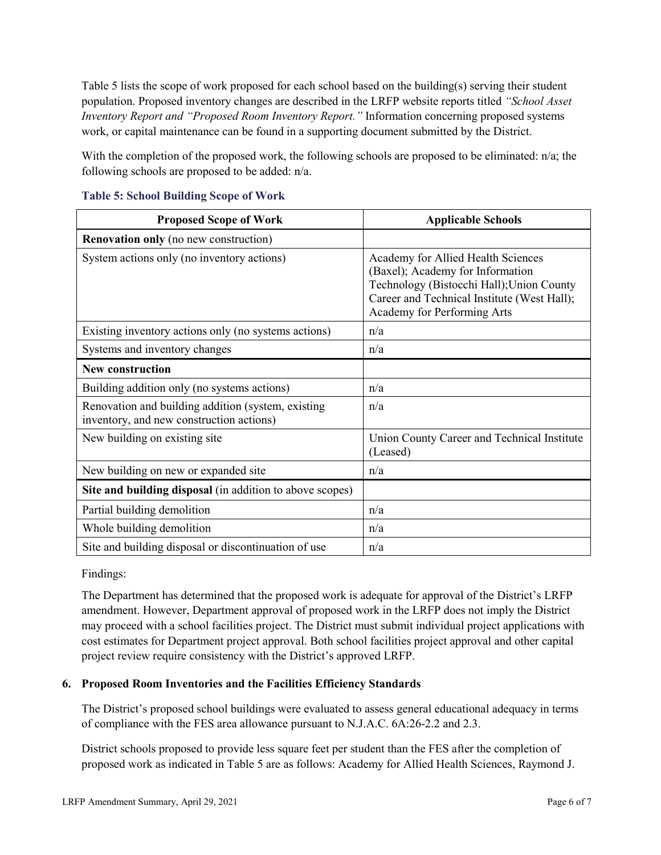Table 5 lists the scope of work proposed for each school based on the building(s) serving their student population. Proposed inventory changes are described in the LRFP website reports titled *"School Asset Inventory Report and "Proposed Room Inventory Report."* Information concerning proposed systems work, or capital maintenance can be found in a supporting document submitted by the District.

With the completion of the proposed work, the following schools are proposed to be eliminated: n/a; the following schools are proposed to be added: n/a.

| <b>Proposed Scope of Work</b>                                                                  | <b>Applicable Schools</b>                                                                                                                                                                         |
|------------------------------------------------------------------------------------------------|---------------------------------------------------------------------------------------------------------------------------------------------------------------------------------------------------|
| <b>Renovation only</b> (no new construction)                                                   |                                                                                                                                                                                                   |
| System actions only (no inventory actions)                                                     | Academy for Allied Health Sciences<br>(Baxel); Academy for Information<br>Technology (Bistocchi Hall); Union County<br>Career and Technical Institute (West Hall);<br>Academy for Performing Arts |
| Existing inventory actions only (no systems actions)                                           | n/a                                                                                                                                                                                               |
| Systems and inventory changes                                                                  | n/a                                                                                                                                                                                               |
| <b>New construction</b>                                                                        |                                                                                                                                                                                                   |
| Building addition only (no systems actions)                                                    | n/a                                                                                                                                                                                               |
| Renovation and building addition (system, existing<br>inventory, and new construction actions) | n/a                                                                                                                                                                                               |
| New building on existing site                                                                  | Union County Career and Technical Institute<br>(Leased)                                                                                                                                           |
| New building on new or expanded site                                                           | n/a                                                                                                                                                                                               |
| Site and building disposal (in addition to above scopes)                                       |                                                                                                                                                                                                   |
| Partial building demolition                                                                    | n/a                                                                                                                                                                                               |
| Whole building demolition                                                                      | n/a                                                                                                                                                                                               |
| Site and building disposal or discontinuation of use                                           | n/a                                                                                                                                                                                               |

**Table 5: School Building Scope of Work**

#### Findings:

The Department has determined that the proposed work is adequate for approval of the District's LRFP amendment. However, Department approval of proposed work in the LRFP does not imply the District may proceed with a school facilities project. The District must submit individual project applications with cost estimates for Department project approval. Both school facilities project approval and other capital project review require consistency with the District's approved LRFP.

## **6. Proposed Room Inventories and the Facilities Efficiency Standards**

The District's proposed school buildings were evaluated to assess general educational adequacy in terms of compliance with the FES area allowance pursuant to N.J.A.C. 6A:26-2.2 and 2.3.

District schools proposed to provide less square feet per student than the FES after the completion of proposed work as indicated in Table 5 are as follows: Academy for Allied Health Sciences, Raymond J.